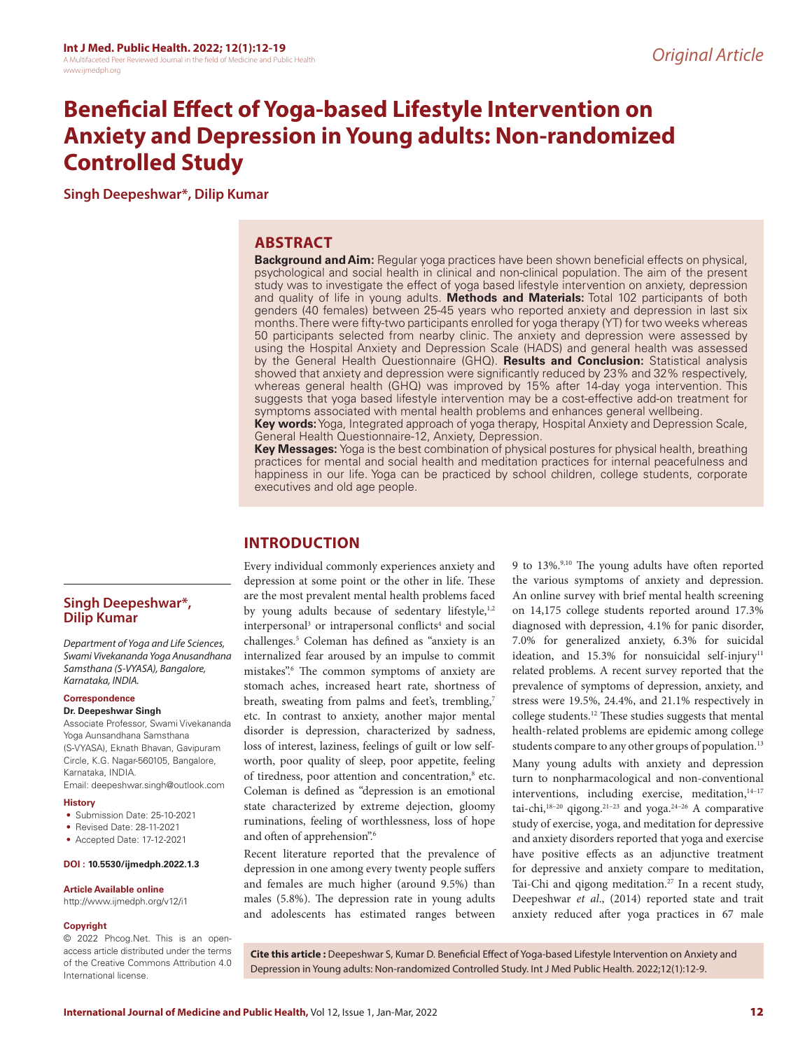# **Beneficial Effect of Yoga-based Lifestyle Intervention on Anxiety and Depression in Young adults: Non-randomized Controlled Study**

**Singh Deepeshwar\*, Dilip Kumar**

## **ABSTRACT**

**Background and Aim:** Regular yoga practices have been shown beneficial effects on physical, psychological and social health in clinical and non-clinical population. The aim of the present study was to investigate the effect of yoga based lifestyle intervention on anxiety, depression and quality of life in young adults. **Methods and Materials:** Total 102 participants of both genders (40 females) between 25-45 years who reported anxiety and depression in last six months. There were fifty-two participants enrolled for yoga therapy (YT) for two weeks whereas 50 participants selected from nearby clinic. The anxiety and depression were assessed by using the Hospital Anxiety and Depression Scale (HADS) and general health was assessed by the General Health Questionnaire (GHQ). **Results and Conclusion:** Statistical analysis showed that anxiety and depression were significantly reduced by 23% and 32% respectively, whereas general health (GHQ) was improved by 15% after 14-day yoga intervention. This suggests that yoga based lifestyle intervention may be a cost-effective add-on treatment for symptoms associated with mental health problems and enhances general wellbeing.

**Key words:** Yoga, Integrated approach of yoga therapy, Hospital Anxiety and Depression Scale, General Health Questionnaire-12, Anxiety, Depression.

**Key Messages:** Yoga is the best combination of physical postures for physical health, breathing practices for mental and social health and meditation practices for internal peacefulness and happiness in our life. Yoga can be practiced by school children, college students, corporate executives and old age people.

# **INTRODUCTION**

Every individual commonly experiences anxiety and depression at some point or the other in life. These are the most prevalent mental health problems faced by young adults because of sedentary lifestyle,<sup>1,2</sup> interpersonal<sup>3</sup> or intrapersonal conflicts<sup>4</sup> and social challenges.5 Coleman has defined as "anxiety is an internalized fear aroused by an impulse to commit mistakes".6 The common symptoms of anxiety are stomach aches, increased heart rate, shortness of breath, sweating from palms and feet's, trembling,7 etc. In contrast to anxiety, another major mental disorder is depression, characterized by sadness, loss of interest, laziness, feelings of guilt or low selfworth, poor quality of sleep, poor appetite, feeling of tiredness, poor attention and concentration,<sup>8</sup> etc. Coleman is defined as "depression is an emotional state characterized by extreme dejection, gloomy ruminations, feeling of worthlessness, loss of hope and often of apprehension".6

Recent literature reported that the prevalence of depression in one among every twenty people suffers and females are much higher (around 9.5%) than males (5.8%). The depression rate in young adults and adolescents has estimated ranges between

9 to 13%.9,10 The young adults have often reported the various symptoms of anxiety and depression. An online survey with brief mental health screening on 14,175 college students reported around 17.3% diagnosed with depression, 4.1% for panic disorder, 7.0% for generalized anxiety, 6.3% for suicidal ideation, and  $15.3\%$  for nonsuicidal self-injury<sup>11</sup> related problems. A recent survey reported that the prevalence of symptoms of depression, anxiety, and stress were 19.5%, 24.4%, and 21.1% respectively in college students.12 These studies suggests that mental health-related problems are epidemic among college students compare to any other groups of population.<sup>13</sup>

Many young adults with anxiety and depression turn to nonpharmacological and non-conventional interventions, including exercise, meditation, 14-17 tai-chi, $18-20$  qigong. $21-23$  and yoga. $24-26$  A comparative study of exercise, yoga, and meditation for depressive and anxiety disorders reported that yoga and exercise have positive effects as an adjunctive treatment for depressive and anxiety compare to meditation, Tai-Chi and qigong meditation.27 In a recent study, Deepeshwar *et al*., (2014) reported state and trait anxiety reduced after yoga practices in 67 male

**Singh Deepeshwar\*, Dilip Kumar**

*Department of Yoga and Life Sciences, Swami Vivekananda Yoga Anusandhana Samsthana (S-VYASA), Bangalore, Karnataka, INDIA.*

#### **Correspondence**

#### **Dr. Deepeshwar Singh**

Associate Professor, Swami Vivekananda Yoga Aunsandhana Samsthana (S-VYASA), Eknath Bhavan, Gavipuram Circle, K.G. Nagar-560105, Bangalore, Karnataka, INDIA.

Email: deepeshwar.singh@outlook.com

- **History**
- Submission Date: 25-10-2021
- Revised Date: 28-11-2021
- Accepted Date: 17-12-2021

#### **DOI : 10.5530/ijmedph.2022.1.3**

#### **Article Available online**

http://www.ijmedph.org/v12/i1

#### **Copyright**

© 2022 Phcog.Net. This is an openaccess article distributed under the terms of the Creative Commons Attribution 4.0 International license.

**Cite this article :** Deepeshwar S, Kumar D. Beneficial Effect of Yoga-based Lifestyle Intervention on Anxiety and Depression in Young adults: Non-randomized Controlled Study. Int J Med Public Health. 2022;12(1):12-9.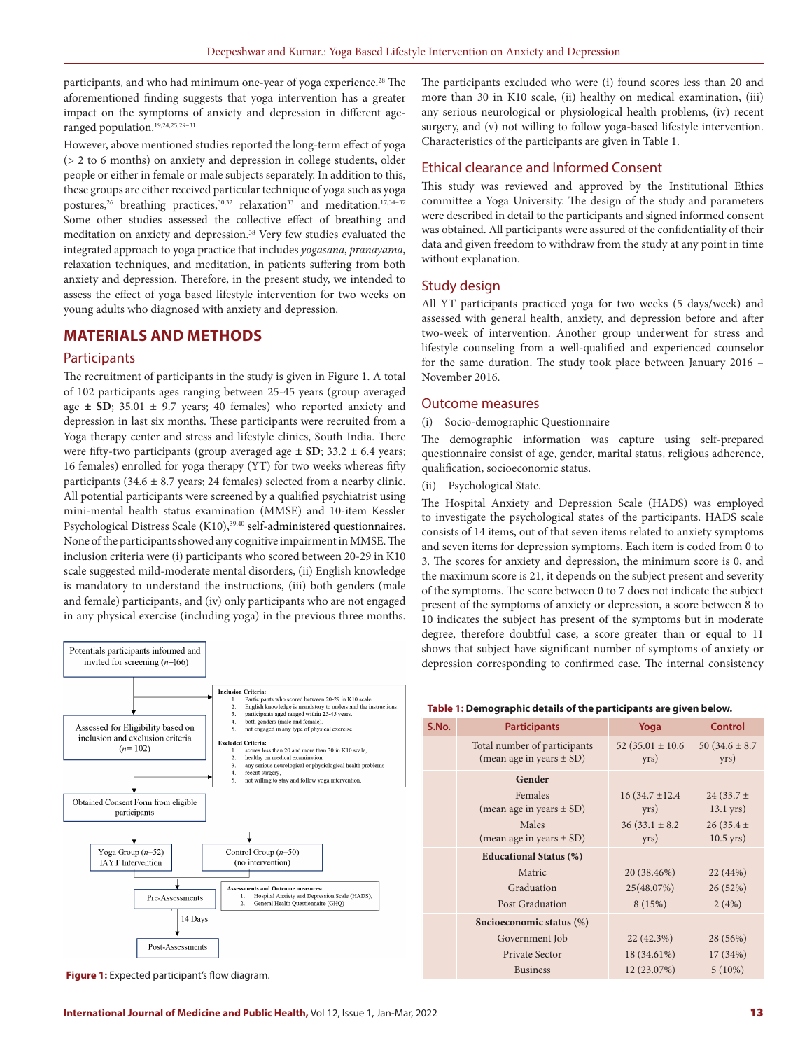participants, and who had minimum one-year of yoga experience.<sup>28</sup> The aforementioned finding suggests that yoga intervention has a greater impact on the symptoms of anxiety and depression in different ageranged population.19,24,25,29–31

However, above mentioned studies reported the long-term effect of yoga (> 2 to 6 months) on anxiety and depression in college students, older people or either in female or male subjects separately. In addition to this, these groups are either received particular technique of yoga such as yoga postures,<sup>26</sup> breathing practices,<sup>30,32</sup> relaxation<sup>33</sup> and meditation.<sup>17,34-37</sup> Some other studies assessed the collective effect of breathing and meditation on anxiety and depression.38 Very few studies evaluated the integrated approach to yoga practice that includes *yogasana*, *pranayama*, relaxation techniques, and meditation, in patients suffering from both anxiety and depression. Therefore, in the present study, we intended to assess the effect of yoga based lifestyle intervention for two weeks on young adults who diagnosed with anxiety and depression.

## **MATERIALS AND METHODS**

#### **Participants**

The recruitment of participants in the study is given in Figure 1. A total of 102 participants ages ranging between 25-45 years (group averaged age **± SD**; 35.01 ± 9.7 years; 40 females) who reported anxiety and depression in last six months. These participants were recruited from a Yoga therapy center and stress and lifestyle clinics, South India. There were fifty-two participants (group averaged age **± SD**; 33.2 ± 6.4 years; 16 females) enrolled for yoga therapy (YT) for two weeks whereas fifty participants (34.6  $\pm$  8.7 years; 24 females) selected from a nearby clinic. All potential participants were screened by a qualified psychiatrist using mini-mental health status examination (MMSE) and 10-item Kessler Psychological Distress Scale (K10),<sup>39,40</sup> self-administered questionnaires. None of the participants showed any cognitive impairment in MMSE. The inclusion criteria were (i) participants who scored between 20-29 in K10 scale suggested mild-moderate mental disorders, (ii) English knowledge is mandatory to understand the instructions, (iii) both genders (male and female) participants, and (iv) only participants who are not engaged in any physical exercise (including yoga) in the previous three months.



**Figure 1:** Expected participant's flow diagram.

The participants excluded who were (i) found scores less than 20 and more than 30 in K10 scale, (ii) healthy on medical examination, (iii) any serious neurological or physiological health problems, (iv) recent surgery, and (v) not willing to follow yoga-based lifestyle intervention. Characteristics of the participants are given in Table 1.

## Ethical clearance and Informed Consent

This study was reviewed and approved by the Institutional Ethics committee a Yoga University. The design of the study and parameters were described in detail to the participants and signed informed consent was obtained. All participants were assured of the confidentiality of their data and given freedom to withdraw from the study at any point in time without explanation.

## Study design

All YT participants practiced yoga for two weeks (5 days/week) and assessed with general health, anxiety, and depression before and after two-week of intervention. Another group underwent for stress and lifestyle counseling from a well-qualified and experienced counselor for the same duration. The study took place between January 2016 – November 2016.

## Outcome measures

(i) Socio-demographic Questionnaire

The demographic information was capture using self-prepared questionnaire consist of age, gender, marital status, religious adherence, qualification, socioeconomic status.

(ii) Psychological State.

The Hospital Anxiety and Depression Scale (HADS) was employed to investigate the psychological states of the participants. HADS scale consists of 14 items, out of that seven items related to anxiety symptoms and seven items for depression symptoms. Each item is coded from 0 to 3. The scores for anxiety and depression, the minimum score is 0, and the maximum score is 21, it depends on the subject present and severity of the symptoms. The score between 0 to 7 does not indicate the subject present of the symptoms of anxiety or depression, a score between 8 to 10 indicates the subject has present of the symptoms but in moderate degree, therefore doubtful case, a score greater than or equal to 11 shows that subject have significant number of symptoms of anxiety or depression corresponding to confirmed case. The internal consistency

| Table 1: Demographic details of the participants are given below. |
|-------------------------------------------------------------------|
|-------------------------------------------------------------------|

| S.No. | <b>Participants</b>                                          | Yoga                         | Control                     |  |
|-------|--------------------------------------------------------------|------------------------------|-----------------------------|--|
|       | Total number of participants<br>(mean age in years $\pm$ SD) | 52 (35.01 $\pm$ 10.6<br>yrs) | 50 $(34.6 \pm 8.7)$<br>yrs) |  |
|       | Gender                                                       |                              |                             |  |
|       | Females                                                      | $16(34.7 \pm 12.4)$          | 24 $(33.7 \pm$              |  |
|       | (mean age in years $\pm$ SD)                                 | yrs)                         | $13.1$ yrs)                 |  |
|       | Males                                                        | $36(33.1 \pm 8.2)$           | 26 (35.4 $\pm$              |  |
|       | (mean age in years $\pm$ SD)                                 | yrs)                         | $10.5$ yrs)                 |  |
|       | <b>Educational Status (%)</b>                                |                              |                             |  |
|       | Matric                                                       | 20 (38.46%)                  | 22 (44%)                    |  |
|       | Graduation                                                   | 25(48.07%)                   | 26 (52%)                    |  |
|       | Post Graduation                                              | 8(15%)                       | 2(4%)                       |  |
|       | Socioeconomic status (%)                                     |                              |                             |  |
|       | Government Job                                               | $22(42.3\%)$                 | 28 (56%)                    |  |
|       | Private Sector                                               | 18 (34.61%)                  | 17(34%)                     |  |
|       | <b>Business</b>                                              | 12 (23.07%)                  | $5(10\%)$                   |  |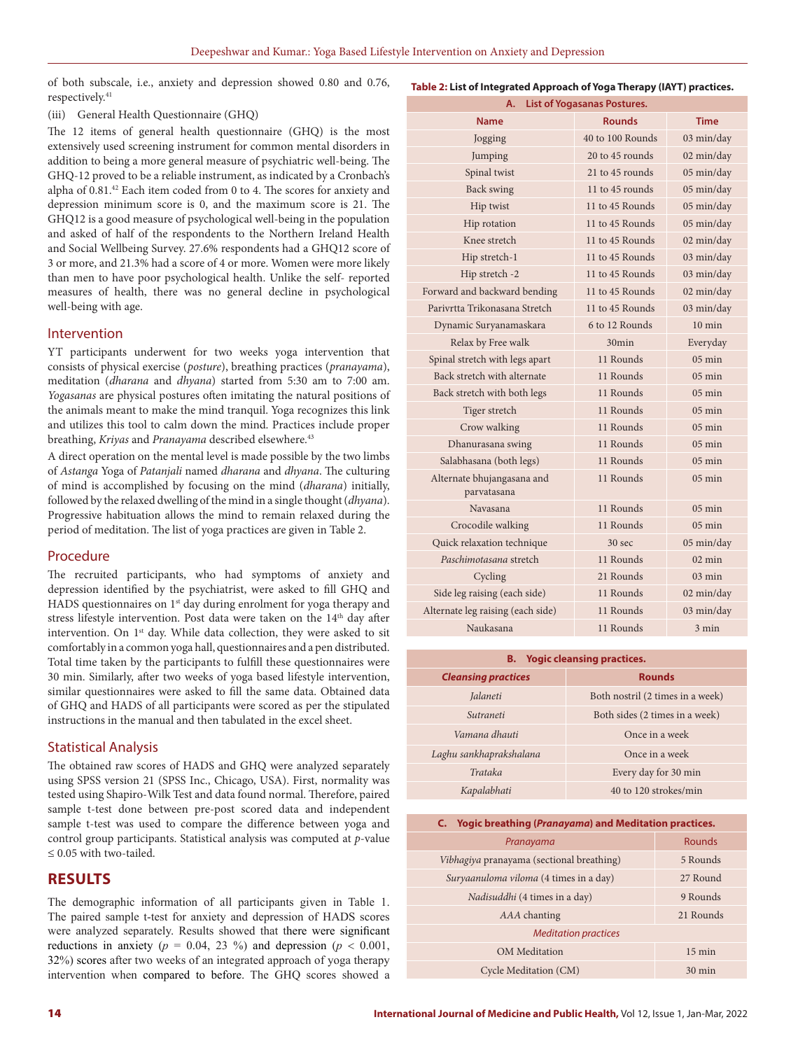of both subscale, i.e., anxiety and depression showed 0.80 and 0.76, respectively.<sup>41</sup>

## (iii) General Health Questionnaire (GHQ)

The 12 items of general health questionnaire (GHQ) is the most extensively used screening instrument for common mental disorders in addition to being a more general measure of psychiatric well-being. The GHQ-12 proved to be a reliable instrument, as indicated by a Cronbach's alpha of 0.81.42 Each item coded from 0 to 4. The scores for anxiety and depression minimum score is 0, and the maximum score is 21. The GHQ12 is a good measure of psychological well-being in the population and asked of half of the respondents to the Northern Ireland Health and Social Wellbeing Survey. 27.6% respondents had a GHQ12 score of 3 or more, and 21.3% had a score of 4 or more. Women were more likely than men to have poor psychological health. Unlike the self- reported measures of health, there was no general decline in psychological well-being with age.

## Intervention

YT participants underwent for two weeks yoga intervention that consists of physical exercise (*posture*), breathing practices (*pranayama*), meditation (*dharana* and *dhyana*) started from 5:30 am to 7:00 am. *Yogasanas* are physical postures often imitating the natural positions of the animals meant to make the mind tranquil. Yoga recognizes this link and utilizes this tool to calm down the mind. Practices include proper breathing, *Kriyas* and *Pranayama* described elsewhere.43

A direct operation on the mental level is made possible by the two limbs of *Astanga* Yoga of *Patanjali* named *dharana* and *dhyana*. The culturing of mind is accomplished by focusing on the mind (*dharana*) initially, followed by the relaxed dwelling of the mind in a single thought (*dhyana*). Progressive habituation allows the mind to remain relaxed during the period of meditation. The list of yoga practices are given in Table 2.

## Procedure

The recruited participants, who had symptoms of anxiety and depression identified by the psychiatrist, were asked to fill GHQ and HADS questionnaires on 1<sup>st</sup> day during enrolment for yoga therapy and stress lifestyle intervention. Post data were taken on the 14<sup>th</sup> day after intervention. On 1<sup>st</sup> day. While data collection, they were asked to sit comfortably in a common yoga hall, questionnaires and a pen distributed. Total time taken by the participants to fulfill these questionnaires were 30 min. Similarly, after two weeks of yoga based lifestyle intervention, similar questionnaires were asked to fill the same data. Obtained data of GHQ and HADS of all participants were scored as per the stipulated instructions in the manual and then tabulated in the excel sheet.

## Statistical Analysis

The obtained raw scores of HADS and GHQ were analyzed separately using SPSS version 21 (SPSS Inc., Chicago, USA). First, normality was tested using Shapiro-Wilk Test and data found normal. Therefore, paired sample t-test done between pre-post scored data and independent sample t-test was used to compare the difference between yoga and control group participants. Statistical analysis was computed at *p*-value ≤ 0.05 with two-tailed.

## **RESULTS**

The demographic information of all participants given in Table 1. The paired sample t-test for anxiety and depression of HADS scores were analyzed separately. Results showed that there were significant reductions in anxiety ( $p = 0.04$ , 23 %) and depression ( $p < 0.001$ , 32%) scores after two weeks of an integrated approach of yoga therapy intervention when compared to before. The GHQ scores showed a

**Table 2: List of Integrated Approach of Yoga Therapy (IAYT) practices.**

| <b>List of Yogasanas Postures.</b><br>Α.  |                   |                  |  |  |  |  |
|-------------------------------------------|-------------------|------------------|--|--|--|--|
| <b>Name</b>                               | <b>Rounds</b>     | <b>Time</b>      |  |  |  |  |
| Jogging                                   | 40 to 100 Rounds  | 03 min/day       |  |  |  |  |
| Jumping                                   | 20 to 45 rounds   | 02 min/day       |  |  |  |  |
| Spinal twist                              | 21 to 45 rounds   | 05 min/day       |  |  |  |  |
| Back swing                                | 11 to 45 rounds   | 05 min/day       |  |  |  |  |
| Hip twist                                 | 11 to 45 Rounds   | 05 min/day       |  |  |  |  |
| Hip rotation                              | 11 to 45 Rounds   | 05 min/day       |  |  |  |  |
| Knee stretch                              | 11 to 45 Rounds   | 02 min/day       |  |  |  |  |
| Hip stretch-1                             | 11 to 45 Rounds   | 03 min/day       |  |  |  |  |
| Hip stretch -2                            | 11 to 45 Rounds   | 03 min/day       |  |  |  |  |
| Forward and backward bending              | 11 to 45 Rounds   | 02 min/day       |  |  |  |  |
| Parivrtta Trikonasana Stretch             | 11 to 45 Rounds   | 03 min/day       |  |  |  |  |
| Dynamic Suryanamaskara                    | 6 to 12 Rounds    | $10 \text{ min}$ |  |  |  |  |
| Relax by Free walk                        | $30$ min          | Everyday         |  |  |  |  |
| Spinal stretch with legs apart            | 11 Rounds         | $05 \text{ min}$ |  |  |  |  |
| Back stretch with alternate               | 11 Rounds         | $05 \text{ min}$ |  |  |  |  |
| Back stretch with both legs               | 11 Rounds         | $05 \text{ min}$ |  |  |  |  |
| Tiger stretch                             | 11 Rounds         | $05 \text{ min}$ |  |  |  |  |
| Crow walking                              | 11 Rounds         | $05 \text{ min}$ |  |  |  |  |
| Dhanurasana swing                         | 11 Rounds         | $05 \text{ min}$ |  |  |  |  |
| Salabhasana (both legs)                   | 11 Rounds         | $05 \text{ min}$ |  |  |  |  |
| Alternate bhujangasana and<br>parvatasana | 11 Rounds         | $05 \text{ min}$ |  |  |  |  |
| Navasana                                  | 11 Rounds         | $05 \text{ min}$ |  |  |  |  |
| Crocodile walking                         | 11 Rounds         | $05 \text{ min}$ |  |  |  |  |
| Quick relaxation technique                | 30 <sub>sec</sub> | 05 min/day       |  |  |  |  |
| Paschimotasana stretch                    | 11 Rounds         | $02 \text{ min}$ |  |  |  |  |
| Cycling                                   | 21 Rounds         | $03 \text{ min}$ |  |  |  |  |
| Side leg raising (each side)              | 11 Rounds         | 02 min/day       |  |  |  |  |
| Alternate leg raising (each side)         | 11 Rounds         | 03 min/day       |  |  |  |  |
| Naukasana                                 | 11 Rounds         | $3 \text{ min}$  |  |  |  |  |

# **B. Yogic cleansing practices.** *Cleansing practices* **Rounds** *Jalaneti* Both nostril (2 times in a week) *Sutraneti* Both sides (2 times in a week) *Vamana dhauti* Once in a week

| Laghu sankhaprakshalana | Once in a week        |  |  |
|-------------------------|-----------------------|--|--|
| Trataka                 | Every day for 30 min  |  |  |
| Kapalabhati             | 40 to 120 strokes/min |  |  |

#### **C. Yogic breathing (***Pranayama***) and Meditation practices.**

| Pranayama                                 | Rounds           |  |  |
|-------------------------------------------|------------------|--|--|
| Vibhagiya pranayama (sectional breathing) | 5 Rounds         |  |  |
| Suryaanuloma viloma (4 times in a day)    | 27 Round         |  |  |
| Nadisuddhi (4 times in a day)             | 9 Rounds         |  |  |
| AAA chanting                              | 21 Rounds        |  |  |
| <b>Meditation practices</b>               |                  |  |  |
| <b>OM</b> Meditation                      | $15 \text{ min}$ |  |  |
| Cycle Meditation (CM)                     | $30 \text{ min}$ |  |  |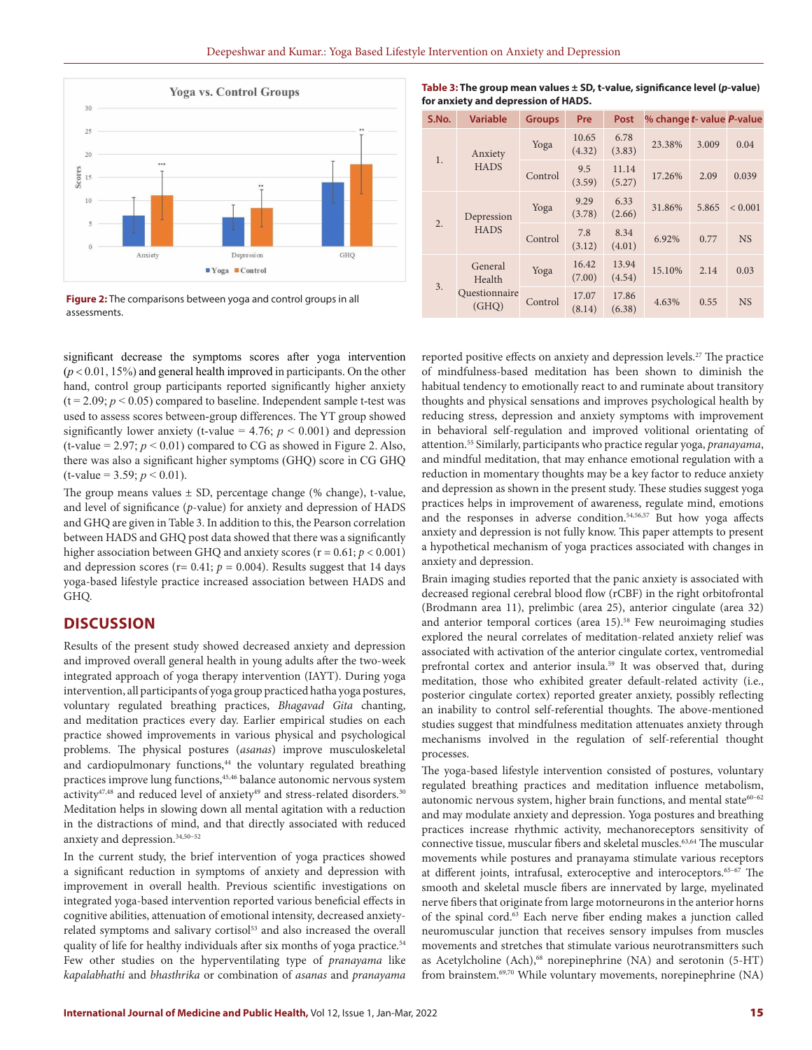

**Figure 2:** The comparisons between yoga and control groups in all assessments.

significant decrease the symptoms scores after yoga intervention  $(p < 0.01, 15%)$  and general health improved in participants. On the other hand, control group participants reported significantly higher anxiety  $(t = 2.09; p < 0.05)$  compared to baseline. Independent sample t-test was used to assess scores between-group differences. The YT group showed significantly lower anxiety (t-value =  $4.76$ ;  $p < 0.001$ ) and depression (t-value =  $2.97$ ;  $p < 0.01$ ) compared to CG as showed in Figure 2. Also, there was also a significant higher symptoms (GHQ) score in CG GHQ  $(t$ -value = 3.59;  $p < 0.01$ ).

The group means values  $\pm$  SD, percentage change (% change), t-value, and level of significance (*p*-value) for anxiety and depression of HADS and GHQ are given in Table 3. In addition to this, the Pearson correlation between HADS and GHQ post data showed that there was a significantly higher association between GHQ and anxiety scores (r = 0.61; *p* < 0.001) and depression scores ( $r= 0.41$ ;  $p = 0.004$ ). Results suggest that 14 days yoga-based lifestyle practice increased association between HADS and GHQ.

## **DISCUSSION**

Results of the present study showed decreased anxiety and depression and improved overall general health in young adults after the two-week integrated approach of yoga therapy intervention (IAYT). During yoga intervention, all participants of yoga group practiced hatha yoga postures, voluntary regulated breathing practices, *Bhagavad Gita* chanting, and meditation practices every day. Earlier empirical studies on each practice showed improvements in various physical and psychological problems. The physical postures (*asanas*) improve musculoskeletal and cardiopulmonary functions,<sup>44</sup> the voluntary regulated breathing practices improve lung functions,45,46 balance autonomic nervous system activity<sup>47,48</sup> and reduced level of anxiety<sup>49</sup> and stress-related disorders.<sup>30</sup> Meditation helps in slowing down all mental agitation with a reduction in the distractions of mind, and that directly associated with reduced anxiety and depression.34,50–52

In the current study, the brief intervention of yoga practices showed a significant reduction in symptoms of anxiety and depression with improvement in overall health. Previous scientific investigations on integrated yoga-based intervention reported various beneficial effects in cognitive abilities, attenuation of emotional intensity, decreased anxietyrelated symptoms and salivary cortisol<sup>53</sup> and also increased the overall quality of life for healthy individuals after six months of yoga practice.<sup>54</sup> Few other studies on the hyperventilating type of *pranayama* like *kapalabhathi* and *bhasthrika* or combination of *asanas* and *pranayama*

**Table 3: The group mean values ± SD, t-value, significance level (***p***-value) for anxiety and depression of HADS.**

| S.No. | <b>Variable</b>                             | <b>Groups</b> | Pre             | Post            | % change t- value P-value |       |             |
|-------|---------------------------------------------|---------------|-----------------|-----------------|---------------------------|-------|-------------|
| 1.    | Anxiety<br><b>HADS</b>                      | Yoga          | 10.65<br>(4.32) | 6.78<br>(3.83)  | 23.38%                    | 3.009 | 0.04        |
|       |                                             | Control       | 9.5<br>(3.59)   | 11.14<br>(5.27) | 17.26%                    | 2.09  | 0.039       |
| 2.    | Depression<br><b>HADS</b>                   | Yoga          | 9.29<br>(3.78)  | 6.33<br>(2.66)  | 31.86%                    | 5.865 | ${}< 0.001$ |
|       |                                             | Control       | 7.8<br>(3.12)   | 8.34<br>(4.01)  | 6.92%                     | 0.77  | <b>NS</b>   |
| 3.    | General<br>Health<br>Questionnaire<br>(GHO) | Yoga          | 16.42<br>(7.00) | 13.94<br>(4.54) | 15.10%                    | 2.14  | 0.03        |
|       |                                             | Control       | 17.07<br>(8.14) | 17.86<br>(6.38) | 4.63%                     | 0.55  | <b>NS</b>   |

reported positive effects on anxiety and depression levels.<sup>27</sup> The practice of mindfulness-based meditation has been shown to diminish the habitual tendency to emotionally react to and ruminate about transitory thoughts and physical sensations and improves psychological health by reducing stress, depression and anxiety symptoms with improvement in behavioral self-regulation and improved volitional orientating of attention.55 Similarly, participants who practice regular yoga, *pranayama*, and mindful meditation, that may enhance emotional regulation with a reduction in momentary thoughts may be a key factor to reduce anxiety and depression as shown in the present study. These studies suggest yoga practices helps in improvement of awareness, regulate mind, emotions and the responses in adverse condition.<sup>54,56,57</sup> But how yoga affects anxiety and depression is not fully know. This paper attempts to present a hypothetical mechanism of yoga practices associated with changes in anxiety and depression.

Brain imaging studies reported that the panic anxiety is associated with decreased regional cerebral blood flow (rCBF) in the right orbitofrontal (Brodmann area 11), prelimbic (area 25), anterior cingulate (area 32) and anterior temporal cortices (area  $15$ ).<sup>58</sup> Few neuroimaging studies explored the neural correlates of meditation-related anxiety relief was associated with activation of the anterior cingulate cortex, ventromedial prefrontal cortex and anterior insula.<sup>59</sup> It was observed that, during meditation, those who exhibited greater default-related activity (i.e., posterior cingulate cortex) reported greater anxiety, possibly reflecting an inability to control self-referential thoughts. The above-mentioned studies suggest that mindfulness meditation attenuates anxiety through mechanisms involved in the regulation of self-referential thought processes.

The yoga-based lifestyle intervention consisted of postures, voluntary regulated breathing practices and meditation influence metabolism, autonomic nervous system, higher brain functions, and mental state $60-62$ and may modulate anxiety and depression. Yoga postures and breathing practices increase rhythmic activity, mechanoreceptors sensitivity of connective tissue, muscular fibers and skeletal muscles.<sup>63,64</sup> The muscular movements while postures and pranayama stimulate various receptors at different joints, intrafusal, exteroceptive and interoceptors.65–67 The smooth and skeletal muscle fibers are innervated by large, myelinated nerve fibers that originate from large motorneurons in the anterior horns of the spinal cord.63 Each nerve fiber ending makes a junction called neuromuscular junction that receives sensory impulses from muscles movements and stretches that stimulate various neurotransmitters such as Acetylcholine (Ach),<sup>68</sup> norepinephrine (NA) and serotonin (5-HT) from brainstem.<sup>69,70</sup> While voluntary movements, norepinephrine (NA)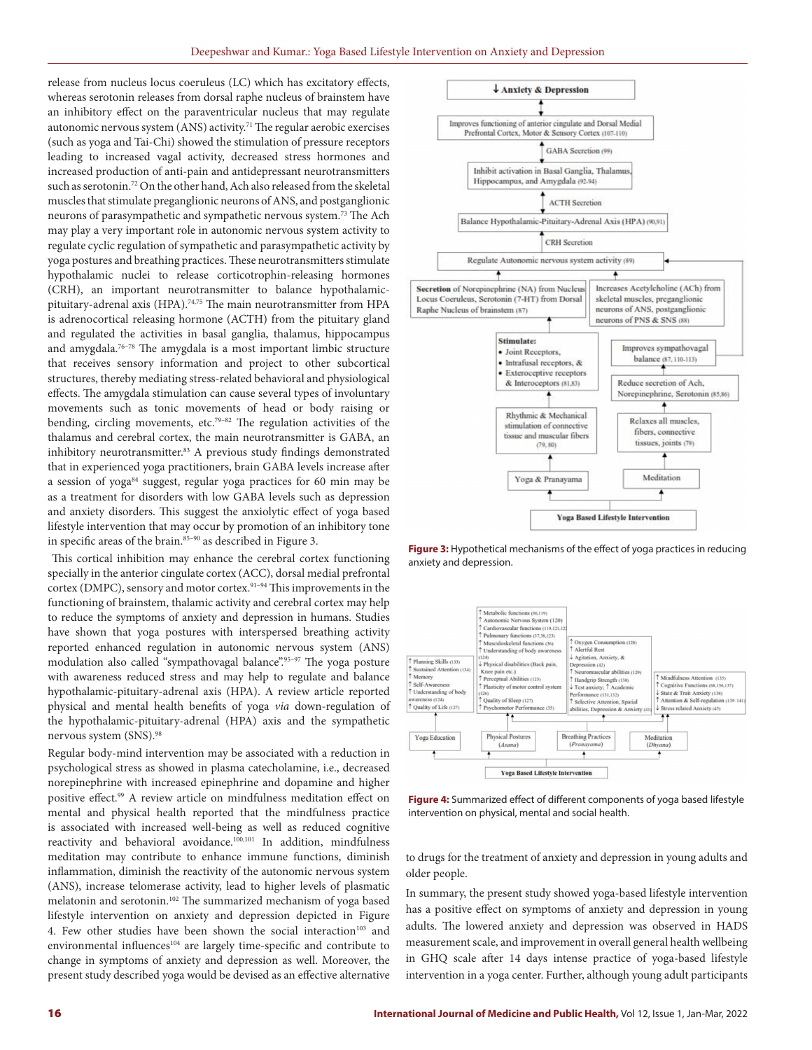release from nucleus locus coeruleus (LC) which has excitatory effects, whereas serotonin releases from dorsal raphe nucleus of brainstem have an inhibitory effect on the paraventricular nucleus that may regulate autonomic nervous system (ANS) activity.<sup>71</sup> The regular aerobic exercises (such as yoga and Tai-Chi) showed the stimulation of pressure receptors leading to increased vagal activity, decreased stress hormones and increased production of anti-pain and antidepressant neurotransmitters such as serotonin.72 On the other hand, Ach also released from the skeletal muscles that stimulate preganglionic neurons of ANS, and postganglionic neurons of parasympathetic and sympathetic nervous system.73 The Ach may play a very important role in autonomic nervous system activity to regulate cyclic regulation of sympathetic and parasympathetic activity by yoga postures and breathing practices. These neurotransmitters stimulate hypothalamic nuclei to release corticotrophin-releasing hormones (CRH), an important neurotransmitter to balance hypothalamicpituitary-adrenal axis (HPA).<sup>74,75</sup> The main neurotransmitter from HPA is adrenocortical releasing hormone (ACTH) from the pituitary gland and regulated the activities in basal ganglia, thalamus, hippocampus and amygdala.76–78 The amygdala is a most important limbic structure that receives sensory information and project to other subcortical structures, thereby mediating stress-related behavioral and physiological effects. The amygdala stimulation can cause several types of involuntary movements such as tonic movements of head or body raising or bending, circling movements, etc.79–82 The regulation activities of the thalamus and cerebral cortex, the main neurotransmitter is GABA, an inhibitory neurotransmitter.<sup>83</sup> A previous study findings demonstrated that in experienced yoga practitioners, brain GABA levels increase after a session of yoga<sup>84</sup> suggest, regular yoga practices for 60 min may be as a treatment for disorders with low GABA levels such as depression and anxiety disorders. This suggest the anxiolytic effect of yoga based lifestyle intervention that may occur by promotion of an inhibitory tone in specific areas of the brain.<sup>85-90</sup> as described in Figure 3.

 This cortical inhibition may enhance the cerebral cortex functioning specially in the anterior cingulate cortex (ACC), dorsal medial prefrontal cortex (DMPC), sensory and motor cortex.<sup>91-94</sup> This improvements in the functioning of brainstem, thalamic activity and cerebral cortex may help to reduce the symptoms of anxiety and depression in humans. Studies have shown that yoga postures with interspersed breathing activity reported enhanced regulation in autonomic nervous system (ANS) modulation also called "sympathovagal balance".95–97 The yoga posture with awareness reduced stress and may help to regulate and balance hypothalamic-pituitary-adrenal axis (HPA). A review article reported physical and mental health benefits of yoga *via* down-regulation of the hypothalamic-pituitary-adrenal (HPA) axis and the sympathetic nervous system (SNS).98

Regular body-mind intervention may be associated with a reduction in psychological stress as showed in plasma catecholamine, i.e., decreased norepinephrine with increased epinephrine and dopamine and higher positive effect.99 A review article on mindfulness meditation effect on mental and physical health reported that the mindfulness practice is associated with increased well-being as well as reduced cognitive reactivity and behavioral avoidance.100,101 In addition, mindfulness meditation may contribute to enhance immune functions, diminish inflammation, diminish the reactivity of the autonomic nervous system (ANS), increase telomerase activity, lead to higher levels of plasmatic melatonin and serotonin.102 The summarized mechanism of yoga based lifestyle intervention on anxiety and depression depicted in Figure 4. Few other studies have been shown the social interaction<sup>103</sup> and environmental influences<sup>104</sup> are largely time-specific and contribute to change in symptoms of anxiety and depression as well. Moreover, the present study described yoga would be devised as an effective alternative



**Figure 3:** Hypothetical mechanisms of the effect of yoga practices in reducing anxiety and depression.



**Figure 4:** Summarized effect of different components of yoga based lifestyle intervention on physical, mental and social health.

to drugs for the treatment of anxiety and depression in young adults and older people.

In summary, the present study showed yoga-based lifestyle intervention has a positive effect on symptoms of anxiety and depression in young adults. The lowered anxiety and depression was observed in HADS measurement scale, and improvement in overall general health wellbeing in GHQ scale after 14 days intense practice of yoga-based lifestyle intervention in a yoga center. Further, although young adult participants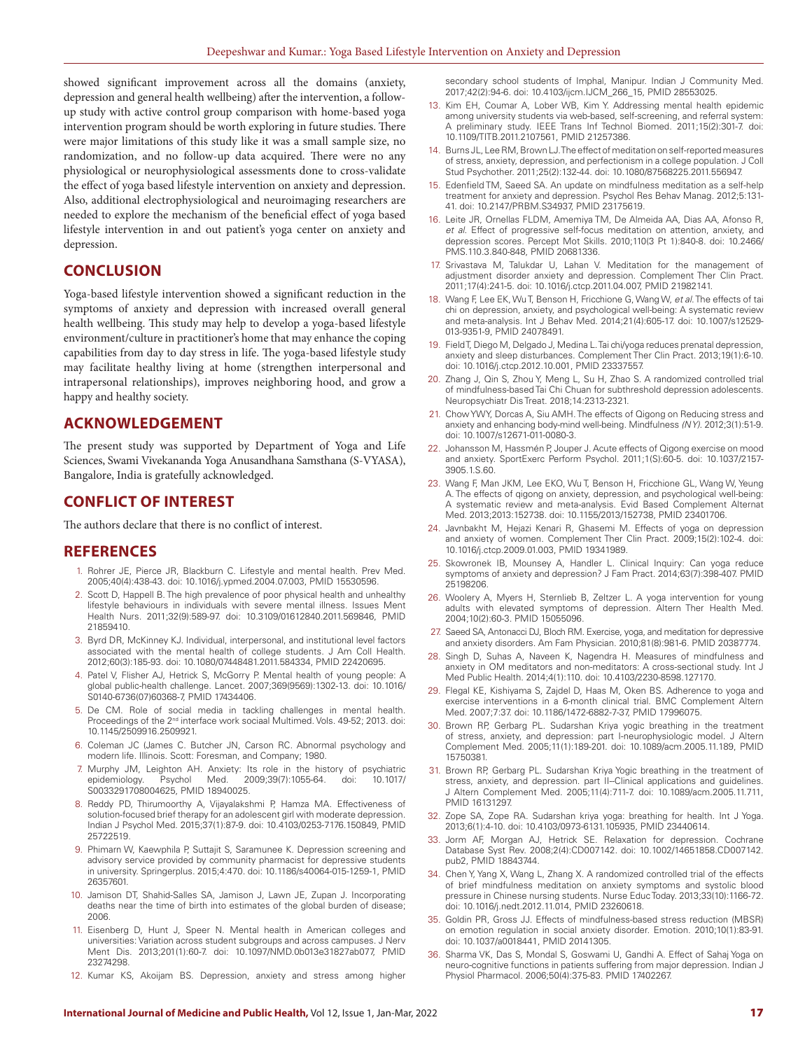showed significant improvement across all the domains (anxiety, depression and general health wellbeing) after the intervention, a followup study with active control group comparison with home-based yoga intervention program should be worth exploring in future studies. There were major limitations of this study like it was a small sample size, no randomization, and no follow-up data acquired. There were no any physiological or neurophysiological assessments done to cross-validate the effect of yoga based lifestyle intervention on anxiety and depression. Also, additional electrophysiological and neuroimaging researchers are needed to explore the mechanism of the beneficial effect of yoga based lifestyle intervention in and out patient's yoga center on anxiety and depression.

## **CONCLUSION**

Yoga-based lifestyle intervention showed a significant reduction in the symptoms of anxiety and depression with increased overall general health wellbeing. This study may help to develop a yoga-based lifestyle environment/culture in practitioner's home that may enhance the coping capabilities from day to day stress in life. The yoga-based lifestyle study may facilitate healthy living at home (strengthen interpersonal and intrapersonal relationships), improves neighboring hood, and grow a happy and healthy society.

## **ACKNOWLEDGEMENT**

The present study was supported by Department of Yoga and Life Sciences, Swami Vivekananda Yoga Anusandhana Samsthana (S-VYASA), Bangalore, India is gratefully acknowledged.

## **CONFLICT OF INTEREST**

The authors declare that there is no conflict of interest.

## **REFERENCES**

- 1. Rohrer JE, Pierce JR, Blackburn C. Lifestyle and mental health. Prev Med. 2005;40(4):438-43. doi: 10.1016/j.ypmed.2004.07.003, PMID 15530596.
- 2. Scott D, Happell B. The high prevalence of poor physical health and unhealthy lifestyle behaviours in individuals with severe mental illness. Issues Ment Health Nurs. 2011;32(9):589-97. doi: 10.3109/01612840.2011.569846, PMID 21859410.
- 3. Byrd DR, McKinney KJ. Individual, interpersonal, and institutional level factors associated with the mental health of college students. J Am Coll Health. 2012;60(3):185-93. doi: 10.1080/07448481.2011.584334, PMID 22420695.
- 4. Patel V, Flisher AJ, Hetrick S, McGorry P. Mental health of young people: A global public-health challenge. Lancet. 2007;369(9569):1302-13. doi: 10.1016/ S0140-6736(07)60368-7, PMID 17434406.
- 5. De CM. Role of social media in tackling challenges in mental health. Proceedings of the 2<sup>nd</sup> interface work sociaal Multimed. Vols. 49-52; 2013. doi: 10.1145/2509916.2509921.
- 6. Coleman JC (James C. Butcher JN, Carson RC. Abnormal psychology and modern life. Illinois. Scott: Foresman, and Company; 1980.
- 7. Murphy JM, Leighton AH. Anxiety: Its role in the history of psychiatric epidemiology. Psychol Med. 2009;39(7):1055-64. doi: 10.1017/ S0033291708004625, PMID 18940025.
- 8. Reddy PD, Thirumoorthy A, Vijayalakshmi P, Hamza MA. Effectiveness of solution-focused brief therapy for an adolescent girl with moderate depression. Indian J Psychol Med. 2015;37(1):87-9. doi: 10.4103/0253-7176.150849, PMID 25722519.
- 9. Phimarn W, Kaewphila P, Suttajit S, Saramunee K. Depression screening and advisory service provided by community pharmacist for depressive students in university. Springerplus. 2015;4:470. doi: 10.1186/s40064-015-1259-1, PMID 26357601.
- 10. Jamison DT, Shahid-Salles SA, Jamison J, Lawn JE, Zupan J. Incorporating deaths near the time of birth into estimates of the global burden of disease; 2006.
- 11. Eisenberg D, Hunt J, Speer N. Mental health in American colleges and universities: Variation across student subgroups and across campuses. J Nerv Ment Dis. 2013;201(1):60-7. doi: 10.1097/NMD.0b013e31827ab077, PMID 23274298.
- 12. Kumar KS, Akoijam BS. Depression, anxiety and stress among higher

secondary school students of Imphal, Manipur, Indian J Community Med. 2017;42(2):94-6. doi: 10.4103/ijcm.IJCM\_266\_15, PMID 28553025.

- 13. Kim EH, Coumar A, Lober WB, Kim Y. Addressing mental health epidemic among university students via web-based, self-screening, and referral system: A preliminary study. IEEE Trans Inf Technol Biomed. 2011;15(2):301-7. doi: 10.1109/TITB.2011.2107561, PMID 21257386.
- 14. Burns JL, Lee RM, Brown LJ. The effect of meditation on self-reported measures of stress, anxiety, depression, and perfectionism in a college population. J Coll Stud Psychother. 2011;25(2):132-44. doi: 10.1080/87568225.2011.556947.
- 15. Edenfield TM, Saeed SA. An update on mindfulness meditation as a self-help treatment for anxiety and depression. Psychol Res Behav Manag. 2012;5:131- 41. doi: 10.2147/PRBM.S34937, PMID 23175619.
- 16. Leite JR, Ornellas FLDM, Amemiya TM, De Almeida AA, Dias AA, Afonso R, *et al*. Effect of progressive self-focus meditation on attention, anxiety, and depression scores. Percept Mot Skills. 2010;110(3 Pt 1):840-8. doi: 10.2466/ PMS.110.3.840-848, PMID 20681336.
- 17. Srivastava M, Talukdar U, Lahan V. Meditation for the management of adjustment disorder anxiety and depression. Complement Ther Clin Pract. 2011;17(4):241-5. doi: 10.1016/j.ctcp.2011.04.007, PMID 21982141.
- 18. Wang F, Lee EK, Wu T, Benson H, Fricchione G, Wang W, *et al*. The effects of tai chi on depression, anxiety, and psychological well-being: A systematic review and meta-analysis. Int J Behav Med. 2014;21(4):605-17. doi: 10.1007/s12529- 013-9351-9, PMID 24078491.
- 19. Field T, Diego M, Delgado J, Medina L. Tai chi/yoga reduces prenatal depression, anxiety and sleep disturbances. Complement Ther Clin Pract. 2013;19(1):6-10. doi: 10.1016/j.ctcp.2012.10.001, PMID 23337557.
- 20. Zhang J, Qin S, Zhou Y, Meng L, Su H, Zhao S. A randomized controlled trial of mindfulness-based Tai Chi Chuan for subthreshold depression adolescents. Neuropsychiatr Dis Treat. 2018;14:2313-2321.
- 21. Chow YWY, Dorcas A, Siu AMH. The effects of Qigong on Reducing stress and anxiety and enhancing body-mind well-being. Mindfulness *(N Y)*. 2012;3(1):51-9. doi: 10.1007/s12671-011-0080-3.
- 22. Johansson M, Hassmén P, Jouper J. Acute effects of Qigong exercise on mood and anxiety. SportExerc Perform Psychol. 2011;1(S):60-5. doi: 10.1037/2157- 3905.1.S.60.
- 23. Wang F, Man JKM, Lee EKO, Wu T, Benson H, Fricchione GL, Wang W, Yeung A. The effects of qigong on anxiety, depression, and psychological well-being: A systematic review and meta-analysis. Evid Based Complement Alternat Med. 2013;2013:152738. doi: 10.1155/2013/152738, PMID 23401706.
- 24. Javnbakht M, Hejazi Kenari R, Ghasemi M. Effects of yoga on depression and anxiety of women. Complement Ther Clin Pract. 2009;15(2):102-4. doi: 10.1016/j.ctcp.2009.01.003, PMID 19341989.
- 25. Skowronek IB, Mounsey A, Handler L. Clinical Inquiry: Can yoga reduce symptoms of anxiety and depression? J Fam Pract. 2014;63(7):398-407. PMID 25198206.
- 26. Woolery A, Myers H, Sternlieb B, Zeltzer L. A yoga intervention for young adults with elevated symptoms of depression. Altern Ther Health Med. 2004;10(2):60-3. PMID 15055096.
- 27. Saeed SA, Antonacci DJ, Bloch RM. Exercise, yoga, and meditation for depressive and anxiety disorders. Am Fam Physician. 2010;81(8):981-6. PMID 20387774.
- 28. Singh D, Suhas A, Naveen K, Nagendra H. Measures of mindfulness and anxiety in OM meditators and non-meditators: A cross-sectional study. Int J Med Public Health. 2014;4(1):110. doi: 10.4103/2230-8598.127170.
- 29. Flegal KE, Kishiyama S, Zajdel D, Haas M, Oken BS. Adherence to yoga and exercise interventions in a 6-month clinical trial. BMC Complement Altern Med. 2007;7:37. doi: 10.1186/1472-6882-7-37, PMID 17996075.
- 30. Brown RP, Gerbarg PL. Sudarshan Kriya yogic breathing in the treatment of stress, anxiety, and depression: part I-neurophysiologic model. J Altern Complement Med. 2005;11(1):189-201. doi: 10.1089/acm.2005.11.189, PMID 15750381.
- 31. Brown RP, Gerbarg PL. Sudarshan Kriya Yogic breathing in the treatment of stress, anxiety, and depression. part II--Clinical applications and guidelines. J Altern Complement Med. 2005;11(4):711-7. doi: 10.1089/acm.2005.11.711, PMID 16131297.
- 32. Zope SA, Zope RA. Sudarshan kriya yoga: breathing for health. Int J Yoga. 2013;6(1):4-10. doi: 10.4103/0973-6131.105935, PMID 23440614.
- 33. Jorm AF, Morgan AJ, Hetrick SE. Relaxation for depression. Cochrane Database Syst Rev. 2008;2(4):CD007142. doi: 10.1002/14651858.CD007142. pub2, PMID 18843744.
- 34. Chen Y, Yang X, Wang L, Zhang X. A randomized controlled trial of the effects of brief mindfulness meditation on anxiety symptoms and systolic blood pressure in Chinese nursing students. Nurse Educ Today. 2013;33(10):1166-72. doi: 10.1016/j.nedt.2012.11.014, PMID 23260618.
- 35. Goldin PR, Gross JJ. Effects of mindfulness-based stress reduction (MBSR) on emotion regulation in social anxiety disorder. Emotion. 2010;10(1):83-91. doi: 10.1037/a0018441, PMID 20141305.
- 36. Sharma VK, Das S, Mondal S, Goswami U, Gandhi A. Effect of Sahaj Yoga on neuro-cognitive functions in patients suffering from major depression. Indian J Physiol Pharmacol. 2006;50(4):375-83. PMID 17402267.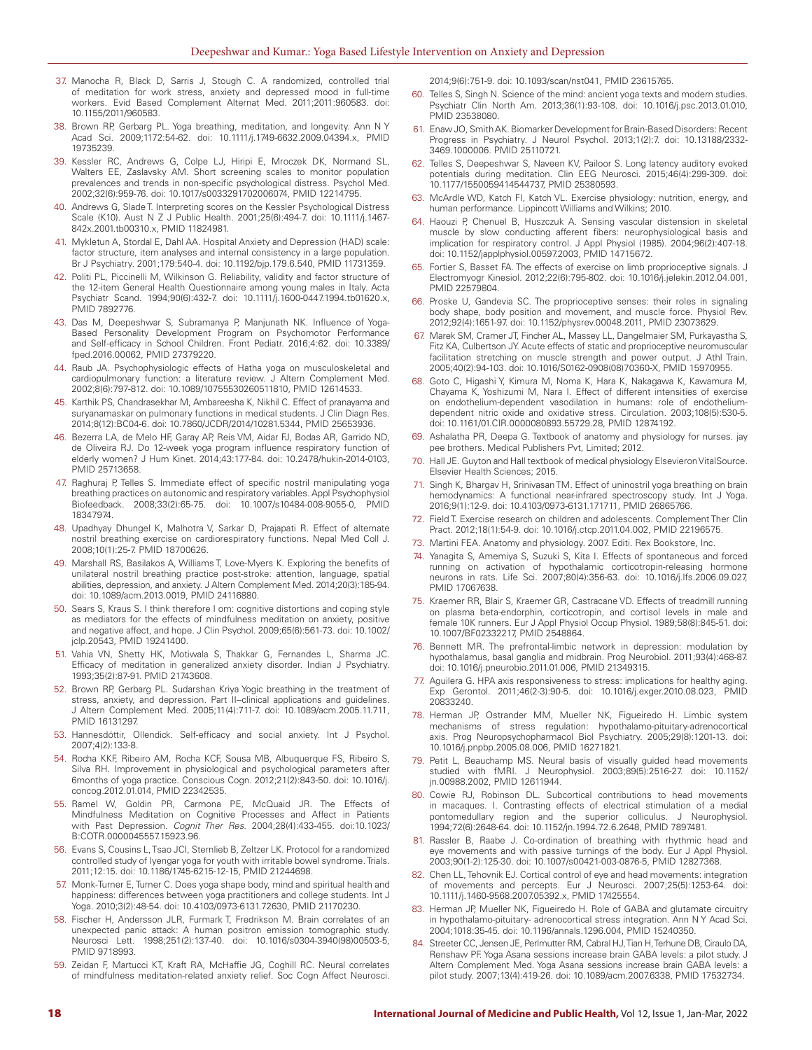- 37. Manocha R, Black D, Sarris J, Stough C. A randomized, controlled trial of meditation for work stress, anxiety and depressed mood in full-time workers. Evid Based Complement Alternat Med. 2011;2011:960583. doi: 10.1155/2011/960583.
- 38. Brown RP, Gerbarg PL. Yoga breathing, meditation, and longevity. Ann N Y Acad Sci. 2009;1172:54-62. doi: 10.1111/j.1749-6632.2009.04394.x, PMID 19735239.
- 39. Kessler RC, Andrews G, Colpe LJ, Hiripi E, Mroczek DK, Normand SL, Walters EE, Zaslavsky AM. Short screening scales to monitor population prevalences and trends in non-specific psychological distress. Psychol Med. 2002;32(6):959-76. doi: 10.1017/s0033291702006074, PMID 12214795.
- 40. Andrews G, Slade T. Interpreting scores on the Kessler Psychological Distress Scale (K10). Aust N Z J Public Health. 2001;25(6):494-7. doi: 10.1111/j.1467- 842x.2001.tb00310.x, PMID 11824981.
- 41. Mykletun A, Stordal E, Dahl AA. Hospital Anxiety and Depression (HAD) scale: factor structure, item analyses and internal consistency in a large population. Br J Psychiatry. 2001;179:540-4. doi: 10.1192/bjp.179.6.540, PMID 11731359.
- 42. Politi PL, Piccinelli M, Wilkinson G. Reliability, validity and factor structure of the 12-item General Health Questionnaire among young males in Italy. Acta Psychiatr Scand. 1994;90(6):432-7. doi: 10.1111/j.1600-0447.1994.tb01620.x, PMID 7892776.
- 43. Das M, Deepeshwar S, Subramanya P, Manjunath NK. Influence of Yoga-Based Personality Development Program on Psychomotor Performance and Self-efficacy in School Children. Front Pediatr. 2016;4:62. doi: 10.3389/ fped.2016.00062, PMID 27379220.
- 44. Raub JA. Psychophysiologic effects of Hatha yoga on musculoskeletal and cardiopulmonary function: a literature review. J Altern Complement Med. 2002;8(6):797-812. doi: 10.1089/10755530260511810, PMID 12614533.
- 45. Karthik PS, Chandrasekhar M, Ambareesha K, Nikhil C. Effect of pranayama and suryanamaskar on pulmonary functions in medical students. J Clin Diagn Res. 2014;8(12):BC04-6. doi: 10.7860/JCDR/2014/10281.5344, PMID 25653936.
- 46. Bezerra LA, de Melo HF, Garay AP, Reis VM, Aidar FJ, Bodas AR, Garrido ND, de Oliveira RJ. Do 12-week yoga program influence respiratory function of elderly women? J Hum Kinet. 2014;43:177-84. doi: 10.2478/hukin-2014-0103, PMID 25713658.
- 47. Raghuraj P, Telles S. Immediate effect of specific nostril manipulating yoga breathing practices on autonomic and respiratory variables. Appl Psychophysiol Biofeedback. 2008;33(2):65-75. doi: 10.1007/s10484-008-9055-0, PMID 18347974.
- 48. Upadhyay Dhungel K, Malhotra V, Sarkar D, Prajapati R. Effect of alternate nostril breathing exercise on cardiorespiratory functions. Nepal Med Coll J. 2008;10(1):25-7. PMID 18700626.
- 49. Marshall RS, Basilakos A, Williams T, Love-Myers K. Exploring the benefits of unilateral nostril breathing practice post-stroke: attention, language, spatial abilities, depression, and anxiety. J Altern Complement Med. 2014;20(3):185-94. doi: 10.1089/acm.2013.0019, PMID 24116880.
- 50. Sears S, Kraus S. I think therefore I om: cognitive distortions and coping style as mediators for the effects of mindfulness meditation on anxiety, positive and negative affect, and hope. J Clin Psychol. 2009;65(6):561-73. doi: 10.1002/ jclp.20543, PMID 19241400.
- 51. Vahia VN, Shetty HK, Motiwala S, Thakkar G, Fernandes L, Sharma JC. Efficacy of meditation in generalized anxiety disorder. Indian J Psychiatry. 1993;35(2):87-91. PMID 21743608.
- 52. Brown RP, Gerbarg PL. Sudarshan Kriya Yogic breathing in the treatment of stress, anxiety, and depression. Part II--clinical applications and guidelines. J Altern Complement Med. 2005;11(4):711-7. doi: 10.1089/acm.2005.11.711, PMID 16131297.
- 53. Hannesdóttir, Ollendick. Self-efficacy and social anxiety. Int J Psychol. 2007;4(2):133-8.
- 54. Rocha KKF, Ribeiro AM, Rocha KCF, Sousa MB, Albuquerque FS, Ribeiro S, Silva RH. Improvement in physiological and psychological parameters after 6months of yoga practice. Conscious Cogn. 2012;21(2):843-50. doi: 10.1016/j. concog.2012.01.014, PMID 22342535.
- 55. Ramel W, Goldin PR, Carmona PE, McQuaid JR. The Effects of Mindfulness Meditation on Cognitive Processes and Affect in Patients with Past Depression. *Cognit Ther Res*. 2004;28(4):433-455. doi:10.1023/ B:COTR.0000045557.15923.96.
- 56. Evans S, Cousins L, Tsao JCI, Sternlieb B, Zeltzer LK. Protocol for a randomized controlled study of Iyengar yoga for youth with irritable bowel syndrome. Trials. 2011;12:15. doi: 10.1186/1745-6215-12-15, PMID 21244698.
- 57. Monk-Turner E, Turner C. Does yoga shape body, mind and spiritual health and happiness: differences between yoga practitioners and college students. Int J Yoga. 2010;3(2):48-54. doi: 10.4103/0973-6131.72630, PMID 21170230.
- 58. Fischer H, Andersson JLR, Furmark T, Fredrikson M. Brain correlates of an unexpected panic attack: A human positron emission tomographic study. Neurosci Lett. 1998;251(2):137-40. doi: 10.1016/s0304-3940(98)00503-5, PMID 9718993.
- 59. Zeidan F, Martucci KT, Kraft RA, McHaffie JG, Coghill RC. Neural correlates of mindfulness meditation-related anxiety relief. Soc Cogn Affect Neurosci.

2014;9(6):751-9. doi: 10.1093/scan/nst041, PMID 23615765.

- 60. Telles S, Singh N. Science of the mind: ancient yoga texts and modern studies. Psychiatr Clin North Am. 2013;36(1):93-108. doi: 10.1016/j.psc.2013.01.010, PMID 23538080.
- 61. Enaw JO, Smith AK. Biomarker Development for Brain-Based Disorders: Recent Progress in Psychiatry. J Neurol Psychol. 2013;1(2):7. doi: 10.13188/2332- 3469.1000006. PMID 25110721.
- 62. Telles S, Deepeshwar S, Naveen KV, Pailoor S. Long latency auditory evoked potentials during meditation. Clin EEG Neurosci. 2015;46(4):299-309. doi: 10.1177/1550059414544737, PMID 25380593.
- 63. McArdle WD, Katch FI, Katch VL. Exercise physiology: nutrition, energy, and human performance. Lippincott Williams and Wilkins; 2010.
- 64. Haouzi P, Chenuel B, Huszczuk A. Sensing vascular distension in skeletal muscle by slow conducting afferent fibers: neurophysiological basis and implication for respiratory control. J Appl Physiol (1985). 2004;96(2):407-18. doi: 10.1152/japplphysiol.00597.2003, PMID 14715672.
- 65. Fortier S, Basset FA. The effects of exercise on limb proprioceptive signals. J Electromyogr Kinesiol. 2012;22(6):795-802. doi: 10.1016/j.jelekin.2012.04.001, PMID 22579804.
- 66. Proske U, Gandevia SC. The proprioceptive senses: their roles in signaling body shape, body position and movement, and muscle force. Physiol Rev. 2012;92(4):1651-97. doi: 10.1152/physrev.00048.2011, PMID 23073629.
- 67. Marek SM, Cramer JT, Fincher AL, Massey LL, Dangelmaier SM, Purkayastha S, Fitz KA, Culbertson JY. Acute effects of static and proprioceptive neuromuscular facilitation stretching on muscle strength and power output. J Athl Train. 2005;40(2):94-103. doi: 10.1016/S0162-0908(08)70360-X, PMID 15970955.
- 68. Goto C, Higashi Y, Kimura M, Noma K, Hara K, Nakagawa K, Kawamura M, Chayama K, Yoshizumi M, Nara I. Effect of different intensities of exercise on endothelium-dependent vasodilation in humans: role of endotheliumdependent nitric oxide and oxidative stress. Circulation. 2003;108(5):530-5. doi: 10.1161/01.CIR.0000080893.55729.28, PMID 12874192.
- 69. Ashalatha PR, Deepa G. Textbook of anatomy and physiology for nurses. jay pee brothers. Medical Publishers Pvt, Limited; 2012.
- 70. Hall JE. Guyton and Hall textbook of medical physiology Elsevieron VitalSource. Elsevier Health Sciences; 2015.
- 71. Singh K, Bhargav H, Srinivasan TM. Effect of uninostril yoga breathing on brain hemodynamics: A functional near-infrared spectroscopy study. Int J Yoga. 2016;9(1):12-9. doi: 10.4103/0973-6131.171711, PMID 26865766.
- 72. Field T. Exercise research on children and adolescents. Complement Ther Clin Pract. 2012;18(1):54-9. doi: 10.1016/j.ctcp.2011.04.002, PMID 22196575.
- 73. Martini FEA. Anatomy and physiology. 2007. Editi. Rex Bookstore, Inc.
- 74. Yanagita S, Amemiya S, Suzuki S, Kita I. Effects of spontaneous and forced running on activation of hypothalamic corticotropin-releasing hormone neurons in rats. Life Sci. 2007;80(4):356-63. doi: 10.1016/j.lfs.2006.09.027, PMID 17067638.
- 75. Kraemer RR, Blair S, Kraemer GR, Castracane VD. Effects of treadmill running on plasma beta-endorphin, corticotropin, and cortisol levels in male and female 10K runners. Eur J Appl Physiol Occup Physiol. 1989;58(8):845-51. doi: 10.1007/BF02332217, PMID 2548864.
- 76. Bennett MR. The prefrontal-limbic network in depression: modulation by hypothalamus, basal ganglia and midbrain. Prog Neurobiol. 2011;93(4):468-87. doi: 10.1016/j.pneurobio.2011.01.006, PMID 21349315.
- 77. Aguilera G. HPA axis responsiveness to stress: implications for healthy aging. Exp Gerontol. 2011;46(2-3):90-5. doi: 10.1016/j.exger.2010.08.023, PMID 20833240.
- 78. Herman JP, Ostrander MM, Mueller NK, Figueiredo H. Limbic system mechanisms of stress regulation: hypothalamo-pituitary-adrenocortical axis. Prog Neuropsychopharmacol Biol Psychiatry. 2005;29(8):1201-13. doi: 10.1016/j.pnpbp.2005.08.006, PMID 16271821.
- 79. Petit L, Beauchamp MS. Neural basis of visually guided head movements studied with fMRI. J Neurophysiol. 2003;89(5):2516-27. doi: 10.1152/ jn.00988.2002, PMID 12611944.
- 80. Cowie RJ, Robinson DL. Subcortical contributions to head movements in macaques. I. Contrasting effects of electrical stimulation of a medial pontomedullary region and the superior colliculus. J Neurophysiol. 1994;72(6):2648-64. doi: 10.1152/jn.1994.72.6.2648, PMID 7897481.
- 81. Rassler B, Raabe J. Co-ordination of breathing with rhythmic head and eye movements and with passive turnings of the body. Eur J Appl Physiol. 2003;90(1-2):125-30. doi: 10.1007/s00421-003-0876-5, PMID 12827368.
- 82. Chen LL, Tehovnik EJ. Cortical control of eye and head movements: integration of movements and percepts. Eur J Neurosci. 2007;25(5):1253-64. doi: 10.1111/j.1460-9568.2007.05392.x, PMID 17425554.
- 83. Herman JP, Mueller NK, Figueiredo H. Role of GABA and glutamate circuitry in hypothalamo-pituitary- adrenocortical stress integration. Ann N Y Acad Sci. 2004;1018:35-45. doi: 10.1196/annals.1296.004, PMID 15240350.
- 84. Streeter CC, Jensen JE, Perlmutter RM, Cabral HJ, Tian H, Terhune DB, Ciraulo DA, Renshaw PF. Yoga Asana sessions increase brain GABA levels: a pilot study. J Altern Complement Med. Yoga Asana sessions increase brain GABA levels: a pilot study. 2007;13(4):419-26. doi: 10.1089/acm.2007.6338, PMID 17532734.